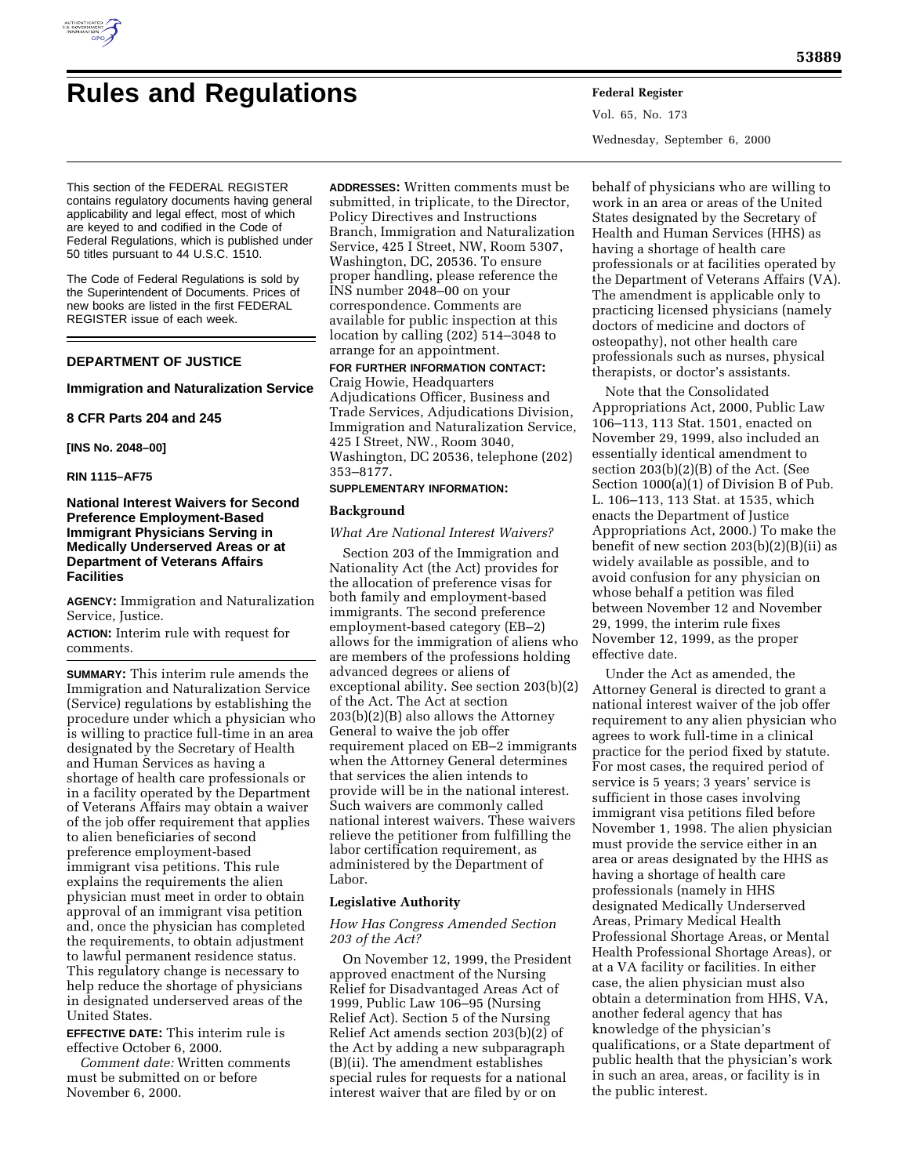

# **Rules and Regulations Federal Register**

Vol. 65, No. 173 Wednesday, September 6, 2000

This section of the FEDERAL REGISTER contains regulatory documents having general applicability and legal effect, most of which are keyed to and codified in the Code of Federal Regulations, which is published under 50 titles pursuant to 44 U.S.C. 1510.

The Code of Federal Regulations is sold by the Superintendent of Documents. Prices of new books are listed in the first FEDERAL REGISTER issue of each week.

# **DEPARTMENT OF JUSTICE**

**Immigration and Naturalization Service**

#### **8 CFR Parts 204 and 245**

**[INS No. 2048–00]**

#### **RIN 1115–AF75**

# **National Interest Waivers for Second Preference Employment-Based Immigrant Physicians Serving in Medically Underserved Areas or at Department of Veterans Affairs Facilities**

**AGENCY:** Immigration and Naturalization Service, Justice.

**ACTION:** Interim rule with request for comments.

**SUMMARY:** This interim rule amends the Immigration and Naturalization Service (Service) regulations by establishing the procedure under which a physician who is willing to practice full-time in an area designated by the Secretary of Health and Human Services as having a shortage of health care professionals or in a facility operated by the Department of Veterans Affairs may obtain a waiver of the job offer requirement that applies to alien beneficiaries of second preference employment-based immigrant visa petitions. This rule explains the requirements the alien physician must meet in order to obtain approval of an immigrant visa petition and, once the physician has completed the requirements, to obtain adjustment to lawful permanent residence status. This regulatory change is necessary to help reduce the shortage of physicians in designated underserved areas of the United States.

**EFFECTIVE DATE:** This interim rule is effective October 6, 2000.

*Comment date:* Written comments must be submitted on or before November 6, 2000.

**ADDRESSES:** Written comments must be submitted, in triplicate, to the Director, Policy Directives and Instructions Branch, Immigration and Naturalization Service, 425 I Street, NW, Room 5307, Washington, DC, 20536. To ensure proper handling, please reference the INS number 2048–00 on your correspondence. Comments are available for public inspection at this location by calling (202) 514–3048 to arrange for an appointment.

**FOR FURTHER INFORMATION CONTACT:**

Craig Howie, Headquarters Adjudications Officer, Business and Trade Services, Adjudications Division, Immigration and Naturalization Service, 425 I Street, NW., Room 3040, Washington, DC 20536, telephone (202) 353–8177.

## **SUPPLEMENTARY INFORMATION:**

# **Background**

#### *What Are National Interest Waivers?*

Section 203 of the Immigration and Nationality Act (the Act) provides for the allocation of preference visas for both family and employment-based immigrants. The second preference employment-based category (EB–2) allows for the immigration of aliens who are members of the professions holding advanced degrees or aliens of exceptional ability. See section 203(b)(2) of the Act. The Act at section 203(b)(2)(B) also allows the Attorney General to waive the job offer requirement placed on EB–2 immigrants when the Attorney General determines that services the alien intends to provide will be in the national interest. Such waivers are commonly called national interest waivers. These waivers relieve the petitioner from fulfilling the labor certification requirement, as administered by the Department of Labor.

### **Legislative Authority**

## *How Has Congress Amended Section 203 of the Act?*

On November 12, 1999, the President approved enactment of the Nursing Relief for Disadvantaged Areas Act of 1999, Public Law 106–95 (Nursing Relief Act). Section 5 of the Nursing Relief Act amends section 203(b)(2) of the Act by adding a new subparagraph (B)(ii). The amendment establishes special rules for requests for a national interest waiver that are filed by or on

behalf of physicians who are willing to work in an area or areas of the United States designated by the Secretary of Health and Human Services (HHS) as having a shortage of health care professionals or at facilities operated by the Department of Veterans Affairs (VA). The amendment is applicable only to practicing licensed physicians (namely doctors of medicine and doctors of osteopathy), not other health care professionals such as nurses, physical therapists, or doctor's assistants.

Note that the Consolidated Appropriations Act, 2000, Public Law 106–113, 113 Stat. 1501, enacted on November 29, 1999, also included an essentially identical amendment to section 203(b)(2)(B) of the Act. (See Section 1000(a)(1) of Division B of Pub. L. 106–113, 113 Stat. at 1535, which enacts the Department of Justice Appropriations Act, 2000.) To make the benefit of new section 203(b)(2)(B)(ii) as widely available as possible, and to avoid confusion for any physician on whose behalf a petition was filed between November 12 and November 29, 1999, the interim rule fixes November 12, 1999, as the proper effective date.

Under the Act as amended, the Attorney General is directed to grant a national interest waiver of the job offer requirement to any alien physician who agrees to work full-time in a clinical practice for the period fixed by statute. For most cases, the required period of service is 5 years; 3 years' service is sufficient in those cases involving immigrant visa petitions filed before November 1, 1998. The alien physician must provide the service either in an area or areas designated by the HHS as having a shortage of health care professionals (namely in HHS designated Medically Underserved Areas, Primary Medical Health Professional Shortage Areas, or Mental Health Professional Shortage Areas), or at a VA facility or facilities. In either case, the alien physician must also obtain a determination from HHS, VA, another federal agency that has knowledge of the physician's qualifications, or a State department of public health that the physician's work in such an area, areas, or facility is in the public interest.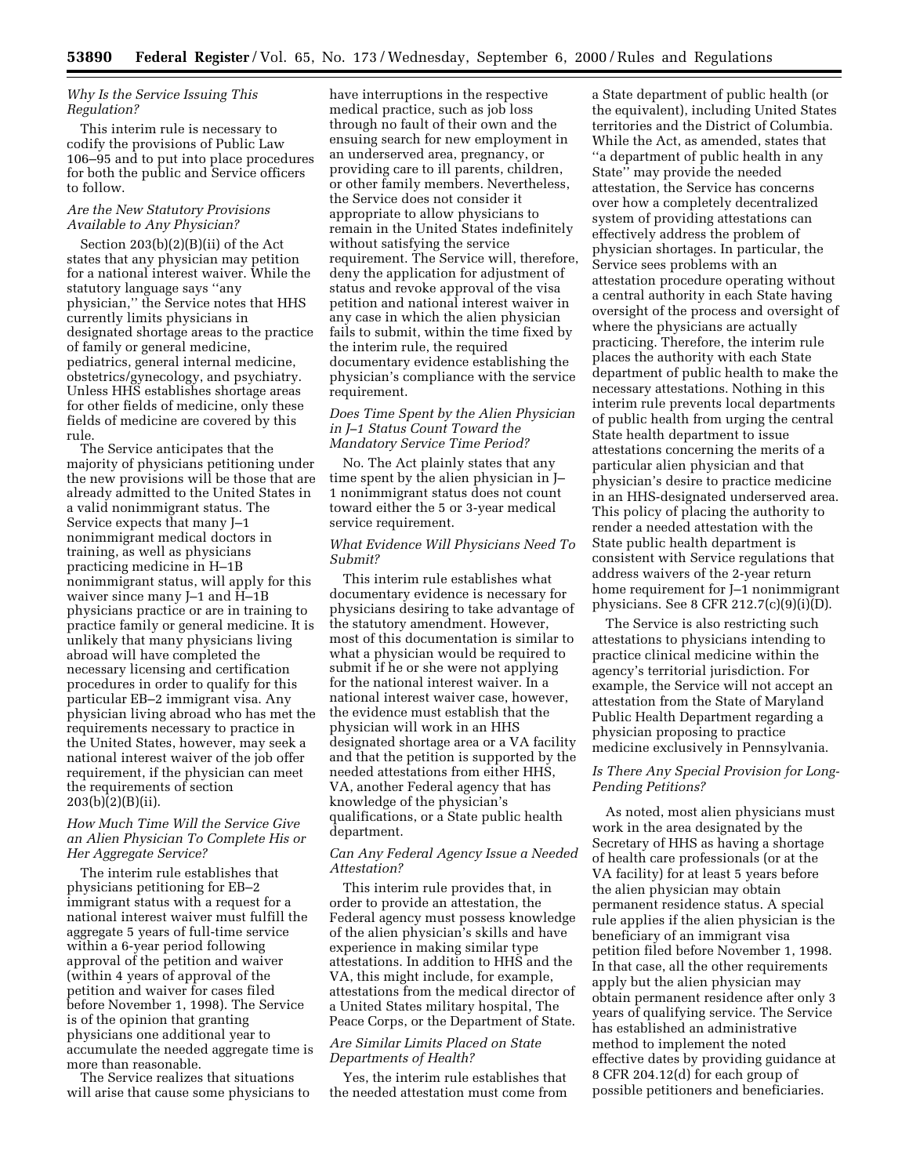## *Why Is the Service Issuing This Regulation?*

This interim rule is necessary to codify the provisions of Public Law 106–95 and to put into place procedures for both the public and Service officers to follow.

# *Are the New Statutory Provisions Available to Any Physician?*

Section 203(b)(2)(B)(ii) of the Act states that any physician may petition for a national interest waiver. While the statutory language says ''any physician,'' the Service notes that HHS currently limits physicians in designated shortage areas to the practice of family or general medicine, pediatrics, general internal medicine, obstetrics/gynecology, and psychiatry. Unless HHS establishes shortage areas for other fields of medicine, only these fields of medicine are covered by this rule.

The Service anticipates that the majority of physicians petitioning under the new provisions will be those that are already admitted to the United States in a valid nonimmigrant status. The Service expects that many J–1 nonimmigrant medical doctors in training, as well as physicians practicing medicine in H–1B nonimmigrant status, will apply for this waiver since many J–1 and H–1B physicians practice or are in training to practice family or general medicine. It is unlikely that many physicians living abroad will have completed the necessary licensing and certification procedures in order to qualify for this particular EB–2 immigrant visa. Any physician living abroad who has met the requirements necessary to practice in the United States, however, may seek a national interest waiver of the job offer requirement, if the physician can meet the requirements of section 203(b)(2)(B)(ii).

# *How Much Time Will the Service Give an Alien Physician To Complete His or Her Aggregate Service?*

The interim rule establishes that physicians petitioning for EB–2 immigrant status with a request for a national interest waiver must fulfill the aggregate 5 years of full-time service within a 6-year period following approval of the petition and waiver (within 4 years of approval of the petition and waiver for cases filed before November 1, 1998). The Service is of the opinion that granting physicians one additional year to accumulate the needed aggregate time is more than reasonable.

The Service realizes that situations will arise that cause some physicians to

have interruptions in the respective medical practice, such as job loss through no fault of their own and the ensuing search for new employment in an underserved area, pregnancy, or providing care to ill parents, children, or other family members. Nevertheless, the Service does not consider it appropriate to allow physicians to remain in the United States indefinitely without satisfying the service requirement. The Service will, therefore, deny the application for adjustment of status and revoke approval of the visa petition and national interest waiver in any case in which the alien physician fails to submit, within the time fixed by the interim rule, the required documentary evidence establishing the physician's compliance with the service requirement.

#### *Does Time Spent by the Alien Physician in J–1 Status Count Toward the Mandatory Service Time Period?*

No. The Act plainly states that any time spent by the alien physician in J– 1 nonimmigrant status does not count toward either the 5 or 3-year medical service requirement.

# *What Evidence Will Physicians Need To Submit?*

This interim rule establishes what documentary evidence is necessary for physicians desiring to take advantage of the statutory amendment. However, most of this documentation is similar to what a physician would be required to submit if he or she were not applying for the national interest waiver. In a national interest waiver case, however, the evidence must establish that the physician will work in an HHS designated shortage area or a VA facility and that the petition is supported by the needed attestations from either HHS, VA, another Federal agency that has knowledge of the physician's qualifications, or a State public health department.

## *Can Any Federal Agency Issue a Needed Attestation?*

This interim rule provides that, in order to provide an attestation, the Federal agency must possess knowledge of the alien physician's skills and have experience in making similar type attestations. In addition to HHS and the VA, this might include, for example, attestations from the medical director of a United States military hospital, The Peace Corps, or the Department of State.

# *Are Similar Limits Placed on State Departments of Health?*

Yes, the interim rule establishes that the needed attestation must come from a State department of public health (or the equivalent), including United States territories and the District of Columbia. While the Act, as amended, states that ''a department of public health in any State'' may provide the needed attestation, the Service has concerns over how a completely decentralized system of providing attestations can effectively address the problem of physician shortages. In particular, the Service sees problems with an attestation procedure operating without a central authority in each State having oversight of the process and oversight of where the physicians are actually practicing. Therefore, the interim rule places the authority with each State department of public health to make the necessary attestations. Nothing in this interim rule prevents local departments of public health from urging the central State health department to issue attestations concerning the merits of a particular alien physician and that physician's desire to practice medicine in an HHS-designated underserved area. This policy of placing the authority to render a needed attestation with the State public health department is consistent with Service regulations that address waivers of the 2-year return home requirement for J–1 nonimmigrant physicians. See 8 CFR 212.7(c)(9)(i)(D).

The Service is also restricting such attestations to physicians intending to practice clinical medicine within the agency's territorial jurisdiction. For example, the Service will not accept an attestation from the State of Maryland Public Health Department regarding a physician proposing to practice medicine exclusively in Pennsylvania.

## *Is There Any Special Provision for Long-Pending Petitions?*

As noted, most alien physicians must work in the area designated by the Secretary of HHS as having a shortage of health care professionals (or at the VA facility) for at least 5 years before the alien physician may obtain permanent residence status. A special rule applies if the alien physician is the beneficiary of an immigrant visa petition filed before November 1, 1998. In that case, all the other requirements apply but the alien physician may obtain permanent residence after only 3 years of qualifying service. The Service has established an administrative method to implement the noted effective dates by providing guidance at 8 CFR 204.12(d) for each group of possible petitioners and beneficiaries.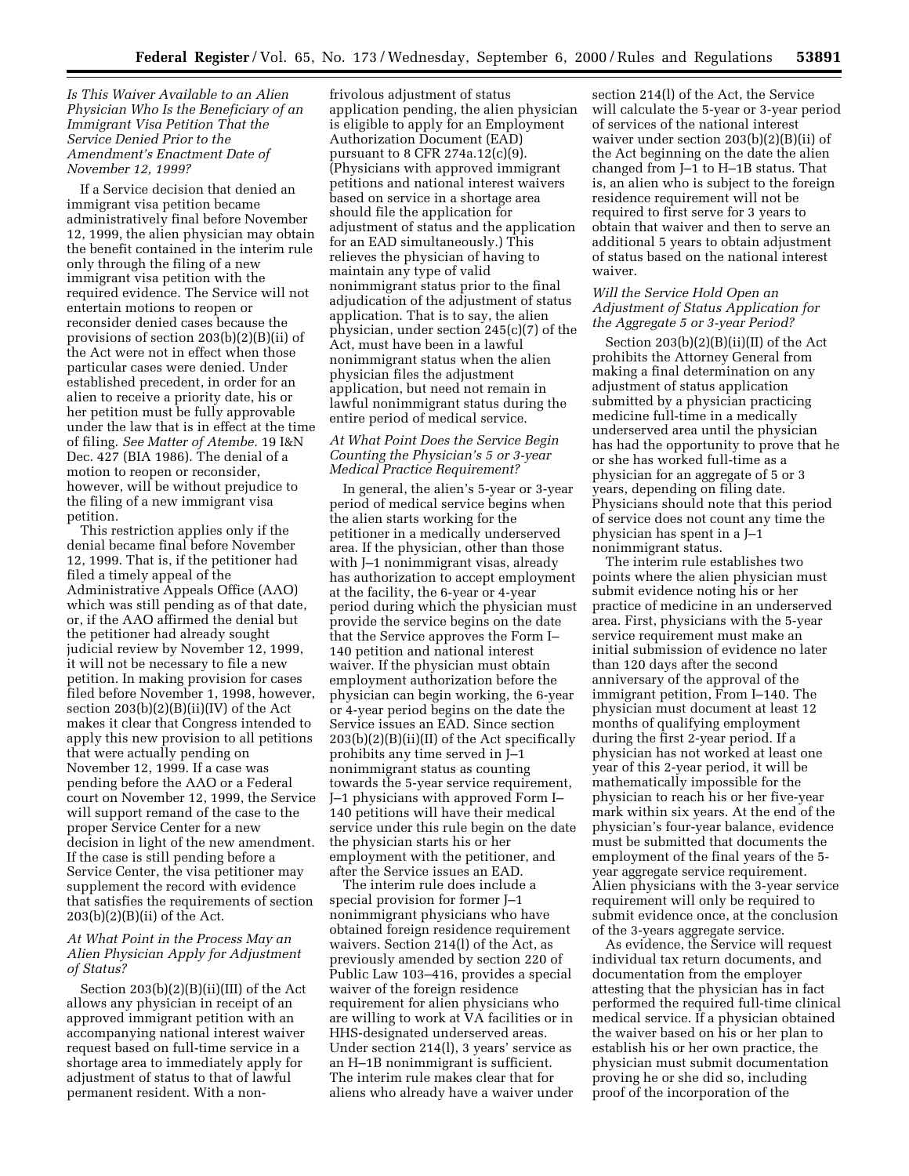# *Is This Waiver Available to an Alien Physician Who Is the Beneficiary of an Immigrant Visa Petition That the Service Denied Prior to the Amendment's Enactment Date of November 12, 1999?*

If a Service decision that denied an immigrant visa petition became administratively final before November 12, 1999, the alien physician may obtain the benefit contained in the interim rule only through the filing of a new immigrant visa petition with the required evidence. The Service will not entertain motions to reopen or reconsider denied cases because the provisions of section 203(b)(2)(B)(ii) of the Act were not in effect when those particular cases were denied. Under established precedent, in order for an alien to receive a priority date, his or her petition must be fully approvable under the law that is in effect at the time of filing. *See Matter of Atembe.* 19 I&N Dec. 427 (BIA 1986). The denial of a motion to reopen or reconsider, however, will be without prejudice to the filing of a new immigrant visa petition.

This restriction applies only if the denial became final before November 12, 1999. That is, if the petitioner had filed a timely appeal of the Administrative Appeals Office (AAO) which was still pending as of that date, or, if the AAO affirmed the denial but the petitioner had already sought judicial review by November 12, 1999, it will not be necessary to file a new petition. In making provision for cases filed before November 1, 1998, however, section 203(b)(2)(B)(ii)(IV) of the Act makes it clear that Congress intended to apply this new provision to all petitions that were actually pending on November 12, 1999. If a case was pending before the AAO or a Federal court on November 12, 1999, the Service will support remand of the case to the proper Service Center for a new decision in light of the new amendment. If the case is still pending before a Service Center, the visa petitioner may supplement the record with evidence that satisfies the requirements of section  $203(b)(2)(B)(ii)$  of the Act.

## *At What Point in the Process May an Alien Physician Apply for Adjustment of Status?*

Section 203(b)(2)(B)(ii)(III) of the Act allows any physician in receipt of an approved immigrant petition with an accompanying national interest waiver request based on full-time service in a shortage area to immediately apply for adjustment of status to that of lawful permanent resident. With a non-

frivolous adjustment of status application pending, the alien physician is eligible to apply for an Employment Authorization Document (EAD) pursuant to 8 CFR 274a.12(c)(9). (Physicians with approved immigrant petitions and national interest waivers based on service in a shortage area should file the application for adjustment of status and the application for an EAD simultaneously.) This relieves the physician of having to maintain any type of valid nonimmigrant status prior to the final adjudication of the adjustment of status application. That is to say, the alien physician, under section 245(c)(7) of the Act, must have been in a lawful nonimmigrant status when the alien physician files the adjustment application, but need not remain in lawful nonimmigrant status during the entire period of medical service.

## *At What Point Does the Service Begin Counting the Physician's 5 or 3-year Medical Practice Requirement?*

In general, the alien's 5-year or 3-year period of medical service begins when the alien starts working for the petitioner in a medically underserved area. If the physician, other than those with J–1 nonimmigrant visas, already has authorization to accept employment at the facility, the 6-year or 4-year period during which the physician must provide the service begins on the date that the Service approves the Form I– 140 petition and national interest waiver. If the physician must obtain employment authorization before the physician can begin working, the 6-year or 4-year period begins on the date the Service issues an EAD. Since section 203(b)(2)(B)(ii)(II) of the Act specifically prohibits any time served in J–1 nonimmigrant status as counting towards the 5-year service requirement, J–1 physicians with approved Form I– 140 petitions will have their medical service under this rule begin on the date the physician starts his or her employment with the petitioner, and after the Service issues an EAD.

The interim rule does include a special provision for former J–1 nonimmigrant physicians who have obtained foreign residence requirement waivers. Section 214(l) of the Act, as previously amended by section 220 of Public Law 103–416, provides a special waiver of the foreign residence requirement for alien physicians who are willing to work at VA facilities or in HHS-designated underserved areas. Under section 214(l), 3 years' service as an H–1B nonimmigrant is sufficient. The interim rule makes clear that for aliens who already have a waiver under

section 214(l) of the Act, the Service will calculate the 5-year or 3-year period of services of the national interest waiver under section 203(b)(2)(B)(ii) of the Act beginning on the date the alien changed from J–1 to H–1B status. That is, an alien who is subject to the foreign residence requirement will not be required to first serve for 3 years to obtain that waiver and then to serve an additional 5 years to obtain adjustment of status based on the national interest waiver.

# *Will the Service Hold Open an Adjustment of Status Application for the Aggregate 5 or 3-year Period?*

Section 203(b)(2)(B)(ii)(II) of the Act prohibits the Attorney General from making a final determination on any adjustment of status application submitted by a physician practicing medicine full-time in a medically underserved area until the physician has had the opportunity to prove that he or she has worked full-time as a physician for an aggregate of 5 or 3 years, depending on filing date. Physicians should note that this period of service does not count any time the physician has spent in a J–1 nonimmigrant status.

The interim rule establishes two points where the alien physician must submit evidence noting his or her practice of medicine in an underserved area. First, physicians with the 5-year service requirement must make an initial submission of evidence no later than 120 days after the second anniversary of the approval of the immigrant petition, From I–140. The physician must document at least 12 months of qualifying employment during the first 2-year period. If a physician has not worked at least one year of this 2-year period, it will be mathematically impossible for the physician to reach his or her five-year mark within six years. At the end of the physician's four-year balance, evidence must be submitted that documents the employment of the final years of the 5 year aggregate service requirement. Alien physicians with the 3-year service requirement will only be required to submit evidence once, at the conclusion of the 3-years aggregate service.

As evidence, the Service will request individual tax return documents, and documentation from the employer attesting that the physician has in fact performed the required full-time clinical medical service. If a physician obtained the waiver based on his or her plan to establish his or her own practice, the physician must submit documentation proving he or she did so, including proof of the incorporation of the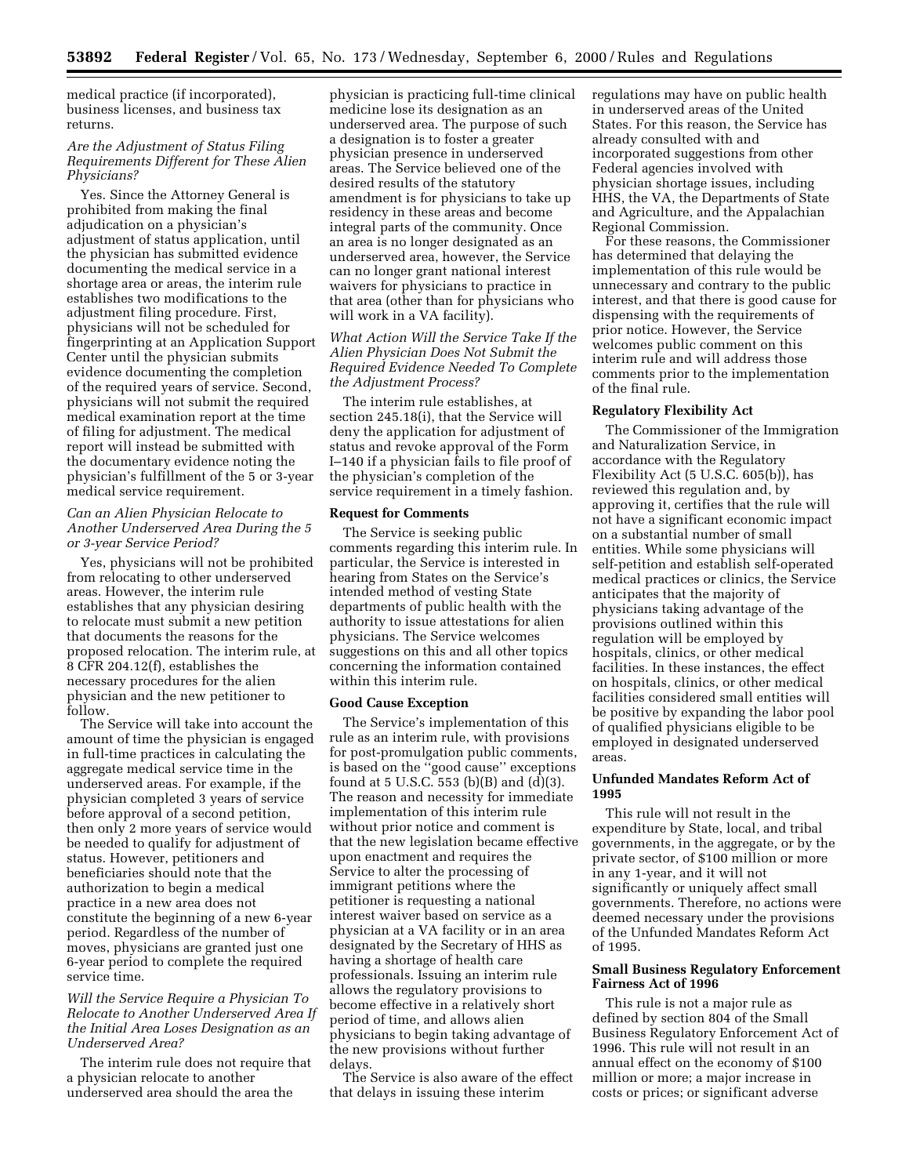medical practice (if incorporated), business licenses, and business tax returns.

# *Are the Adjustment of Status Filing Requirements Different for These Alien Physicians?*

Yes. Since the Attorney General is prohibited from making the final adjudication on a physician's adjustment of status application, until the physician has submitted evidence documenting the medical service in a shortage area or areas, the interim rule establishes two modifications to the adjustment filing procedure. First, physicians will not be scheduled for fingerprinting at an Application Support Center until the physician submits evidence documenting the completion of the required years of service. Second, physicians will not submit the required medical examination report at the time of filing for adjustment. The medical report will instead be submitted with the documentary evidence noting the physician's fulfillment of the 5 or 3-year medical service requirement.

## *Can an Alien Physician Relocate to Another Underserved Area During the 5 or 3-year Service Period?*

Yes, physicians will not be prohibited from relocating to other underserved areas. However, the interim rule establishes that any physician desiring to relocate must submit a new petition that documents the reasons for the proposed relocation. The interim rule, at 8 CFR 204.12(f), establishes the necessary procedures for the alien physician and the new petitioner to follow.

The Service will take into account the amount of time the physician is engaged in full-time practices in calculating the aggregate medical service time in the underserved areas. For example, if the physician completed 3 years of service before approval of a second petition, then only 2 more years of service would be needed to qualify for adjustment of status. However, petitioners and beneficiaries should note that the authorization to begin a medical practice in a new area does not constitute the beginning of a new 6-year period. Regardless of the number of moves, physicians are granted just one 6-year period to complete the required service time.

# *Will the Service Require a Physician To Relocate to Another Underserved Area If the Initial Area Loses Designation as an Underserved Area?*

The interim rule does not require that a physician relocate to another underserved area should the area the

physician is practicing full-time clinical medicine lose its designation as an underserved area. The purpose of such a designation is to foster a greater physician presence in underserved areas. The Service believed one of the desired results of the statutory amendment is for physicians to take up residency in these areas and become integral parts of the community. Once an area is no longer designated as an underserved area, however, the Service can no longer grant national interest waivers for physicians to practice in that area (other than for physicians who will work in a VA facility).

# *What Action Will the Service Take If the Alien Physician Does Not Submit the Required Evidence Needed To Complete the Adjustment Process?*

The interim rule establishes, at section 245.18(i), that the Service will deny the application for adjustment of status and revoke approval of the Form I–140 if a physician fails to file proof of the physician's completion of the service requirement in a timely fashion.

## **Request for Comments**

The Service is seeking public comments regarding this interim rule. In particular, the Service is interested in hearing from States on the Service's intended method of vesting State departments of public health with the authority to issue attestations for alien physicians. The Service welcomes suggestions on this and all other topics concerning the information contained within this interim rule.

#### **Good Cause Exception**

The Service's implementation of this rule as an interim rule, with provisions for post-promulgation public comments, is based on the ''good cause'' exceptions found at 5 U.S.C. 553 (b)(B) and (d)(3). The reason and necessity for immediate implementation of this interim rule without prior notice and comment is that the new legislation became effective upon enactment and requires the Service to alter the processing of immigrant petitions where the petitioner is requesting a national interest waiver based on service as a physician at a VA facility or in an area designated by the Secretary of HHS as having a shortage of health care professionals. Issuing an interim rule allows the regulatory provisions to become effective in a relatively short period of time, and allows alien physicians to begin taking advantage of the new provisions without further delays.

The Service is also aware of the effect that delays in issuing these interim

regulations may have on public health in underserved areas of the United States. For this reason, the Service has already consulted with and incorporated suggestions from other Federal agencies involved with physician shortage issues, including HHS, the VA, the Departments of State and Agriculture, and the Appalachian Regional Commission.

For these reasons, the Commissioner has determined that delaying the implementation of this rule would be unnecessary and contrary to the public interest, and that there is good cause for dispensing with the requirements of prior notice. However, the Service welcomes public comment on this interim rule and will address those comments prior to the implementation of the final rule.

#### **Regulatory Flexibility Act**

The Commissioner of the Immigration and Naturalization Service, in accordance with the Regulatory Flexibility Act (5 U.S.C. 605(b)), has reviewed this regulation and, by approving it, certifies that the rule will not have a significant economic impact on a substantial number of small entities. While some physicians will self-petition and establish self-operated medical practices or clinics, the Service anticipates that the majority of physicians taking advantage of the provisions outlined within this regulation will be employed by hospitals, clinics, or other medical facilities. In these instances, the effect on hospitals, clinics, or other medical facilities considered small entities will be positive by expanding the labor pool of qualified physicians eligible to be employed in designated underserved areas.

#### **Unfunded Mandates Reform Act of 1995**

This rule will not result in the expenditure by State, local, and tribal governments, in the aggregate, or by the private sector, of \$100 million or more in any 1-year, and it will not significantly or uniquely affect small governments. Therefore, no actions were deemed necessary under the provisions of the Unfunded Mandates Reform Act of 1995.

# **Small Business Regulatory Enforcement Fairness Act of 1996**

This rule is not a major rule as defined by section 804 of the Small Business Regulatory Enforcement Act of 1996. This rule will not result in an annual effect on the economy of \$100 million or more; a major increase in costs or prices; or significant adverse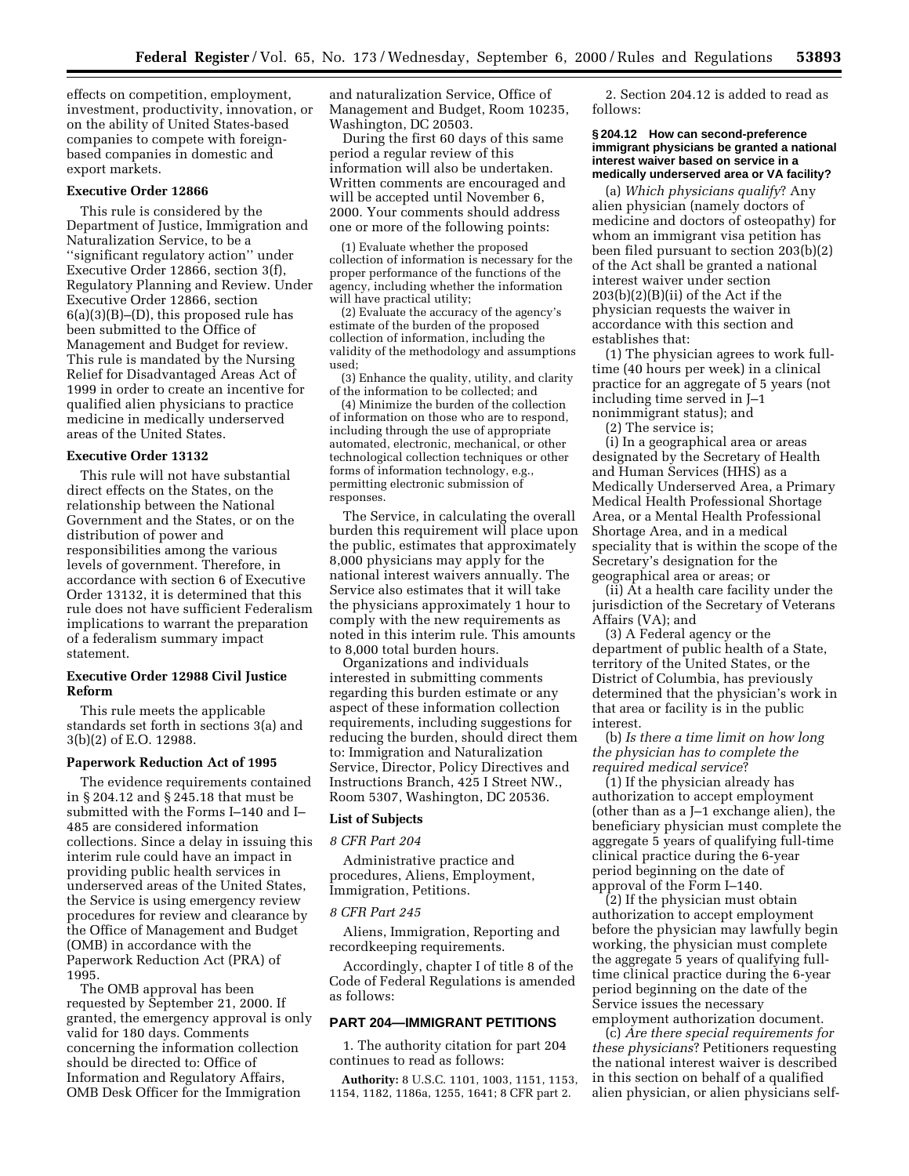effects on competition, employment, investment, productivity, innovation, or on the ability of United States-based companies to compete with foreignbased companies in domestic and export markets.

#### **Executive Order 12866**

This rule is considered by the Department of Justice, Immigration and Naturalization Service, to be a ''significant regulatory action'' under Executive Order 12866, section 3(f), Regulatory Planning and Review. Under Executive Order 12866, section  $6(a)(3)(B)$ –(D), this proposed rule has been submitted to the Office of Management and Budget for review. This rule is mandated by the Nursing Relief for Disadvantaged Areas Act of 1999 in order to create an incentive for qualified alien physicians to practice medicine in medically underserved areas of the United States.

#### **Executive Order 13132**

This rule will not have substantial direct effects on the States, on the relationship between the National Government and the States, or on the distribution of power and responsibilities among the various levels of government. Therefore, in accordance with section 6 of Executive Order 13132, it is determined that this rule does not have sufficient Federalism implications to warrant the preparation of a federalism summary impact statement.

## **Executive Order 12988 Civil Justice Reform**

This rule meets the applicable standards set forth in sections 3(a) and 3(b)(2) of E.O. 12988.

#### **Paperwork Reduction Act of 1995**

The evidence requirements contained in § 204.12 and § 245.18 that must be submitted with the Forms I–140 and I– 485 are considered information collections. Since a delay in issuing this interim rule could have an impact in providing public health services in underserved areas of the United States, the Service is using emergency review procedures for review and clearance by the Office of Management and Budget (OMB) in accordance with the Paperwork Reduction Act (PRA) of 1995.

The OMB approval has been requested by September 21, 2000. If granted, the emergency approval is only valid for 180 days. Comments concerning the information collection should be directed to: Office of Information and Regulatory Affairs, OMB Desk Officer for the Immigration

and naturalization Service, Office of Management and Budget, Room 10235, Washington, DC 20503.

During the first 60 days of this same period a regular review of this information will also be undertaken. Written comments are encouraged and will be accepted until November 6, 2000. Your comments should address one or more of the following points:

(1) Evaluate whether the proposed collection of information is necessary for the proper performance of the functions of the agency, including whether the information will have practical utility;

(2) Evaluate the accuracy of the agency's estimate of the burden of the proposed collection of information, including the validity of the methodology and assumptions used;

(3) Enhance the quality, utility, and clarity of the information to be collected; and

(4) Minimize the burden of the collection of information on those who are to respond, including through the use of appropriate automated, electronic, mechanical, or other technological collection techniques or other forms of information technology, e.g., permitting electronic submission of responses.

The Service, in calculating the overall burden this requirement will place upon the public, estimates that approximately 8,000 physicians may apply for the national interest waivers annually. The Service also estimates that it will take the physicians approximately 1 hour to comply with the new requirements as noted in this interim rule. This amounts to 8,000 total burden hours.

Organizations and individuals interested in submitting comments regarding this burden estimate or any aspect of these information collection requirements, including suggestions for reducing the burden, should direct them to: Immigration and Naturalization Service, Director, Policy Directives and Instructions Branch, 425 I Street NW., Room 5307, Washington, DC 20536.

#### **List of Subjects**

# *8 CFR Part 204*

Administrative practice and procedures, Aliens, Employment, Immigration, Petitions.

#### *8 CFR Part 245*

Aliens, Immigration, Reporting and recordkeeping requirements.

Accordingly, chapter I of title 8 of the Code of Federal Regulations is amended as follows:

#### **PART 204—IMMIGRANT PETITIONS**

1. The authority citation for part 204 continues to read as follows:

**Authority:** 8 U.S.C. 1101, 1003, 1151, 1153, 1154, 1182, 1186a, 1255, 1641; 8 CFR part 2.

2. Section 204.12 is added to read as follows:

#### **§ 204.12 How can second-preference immigrant physicians be granted a national interest waiver based on service in a medically underserved area or VA facility?**

(a) *Which physicians qualify*? Any alien physician (namely doctors of medicine and doctors of osteopathy) for whom an immigrant visa petition has been filed pursuant to section 203(b)(2) of the Act shall be granted a national interest waiver under section  $203(b)(2)(B)(ii)$  of the Act if the physician requests the waiver in accordance with this section and establishes that:

(1) The physician agrees to work fulltime (40 hours per week) in a clinical practice for an aggregate of 5 years (not including time served in J–1 nonimmigrant status); and

(2) The service is;

(i) In a geographical area or areas designated by the Secretary of Health and Human Services (HHS) as a Medically Underserved Area, a Primary Medical Health Professional Shortage Area, or a Mental Health Professional Shortage Area, and in a medical speciality that is within the scope of the Secretary's designation for the geographical area or areas; or

(ii) At a health care facility under the jurisdiction of the Secretary of Veterans Affairs (VA); and

(3) A Federal agency or the department of public health of a State, territory of the United States, or the District of Columbia, has previously determined that the physician's work in that area or facility is in the public interest.

(b) *Is there a time limit on how long the physician has to complete the required medical service*?

(1) If the physician already has authorization to accept employment (other than as a J–1 exchange alien), the beneficiary physician must complete the aggregate 5 years of qualifying full-time clinical practice during the 6-year period beginning on the date of approval of the Form I–140.

(2) If the physician must obtain authorization to accept employment before the physician may lawfully begin working, the physician must complete the aggregate 5 years of qualifying fulltime clinical practice during the 6-year period beginning on the date of the Service issues the necessary employment authorization document.

(c) *Are there special requirements for these physicians*? Petitioners requesting the national interest waiver is described in this section on behalf of a qualified alien physician, or alien physicians self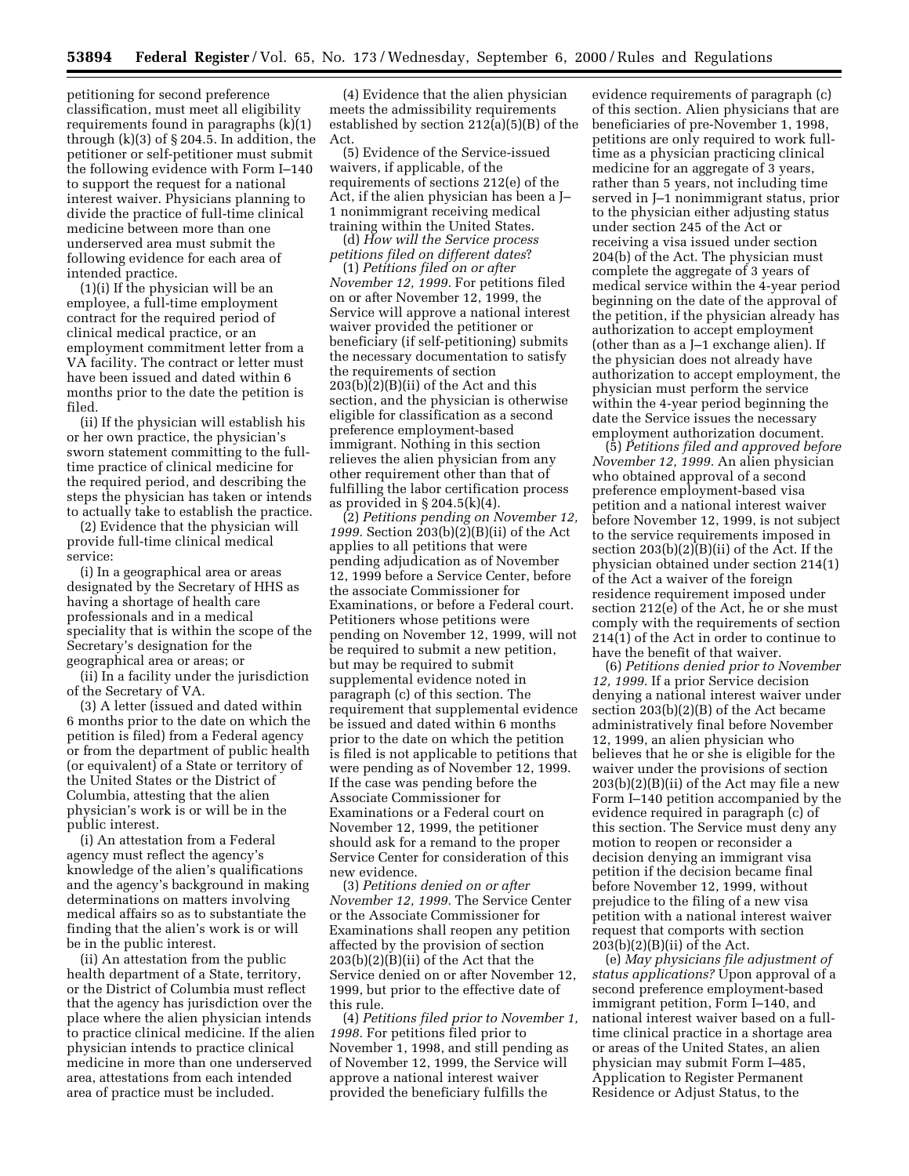petitioning for second preference classification, must meet all eligibility requirements found in paragraphs (k)(1) through (k)(3) of § 204.5. In addition, the petitioner or self-petitioner must submit the following evidence with Form I–140 to support the request for a national interest waiver. Physicians planning to divide the practice of full-time clinical medicine between more than one underserved area must submit the following evidence for each area of intended practice.

(1)(i) If the physician will be an employee, a full-time employment contract for the required period of clinical medical practice, or an employment commitment letter from a VA facility. The contract or letter must have been issued and dated within 6 months prior to the date the petition is filed.

(ii) If the physician will establish his or her own practice, the physician's sworn statement committing to the fulltime practice of clinical medicine for the required period, and describing the steps the physician has taken or intends to actually take to establish the practice.

(2) Evidence that the physician will provide full-time clinical medical service:

(i) In a geographical area or areas designated by the Secretary of HHS as having a shortage of health care professionals and in a medical speciality that is within the scope of the Secretary's designation for the geographical area or areas; or

(ii) In a facility under the jurisdiction of the Secretary of VA.

(3) A letter (issued and dated within 6 months prior to the date on which the petition is filed) from a Federal agency or from the department of public health (or equivalent) of a State or territory of the United States or the District of Columbia, attesting that the alien physician's work is or will be in the public interest.

(i) An attestation from a Federal agency must reflect the agency's knowledge of the alien's qualifications and the agency's background in making determinations on matters involving medical affairs so as to substantiate the finding that the alien's work is or will be in the public interest.

(ii) An attestation from the public health department of a State, territory, or the District of Columbia must reflect that the agency has jurisdiction over the place where the alien physician intends to practice clinical medicine. If the alien physician intends to practice clinical medicine in more than one underserved area, attestations from each intended area of practice must be included.

(4) Evidence that the alien physician meets the admissibility requirements established by section 212(a)(5)(B) of the Act.

(5) Evidence of the Service-issued waivers, if applicable, of the requirements of sections 212(e) of the Act, if the alien physician has been a J– 1 nonimmigrant receiving medical training within the United States.

(d) *How will the Service process petitions filed on different dates*?

(1) *Petitions filed on or after November 12, 1999.* For petitions filed on or after November 12, 1999, the Service will approve a national interest waiver provided the petitioner or beneficiary (if self-petitioning) submits the necessary documentation to satisfy the requirements of section 203(b)(2)(B)(ii) of the Act and this section, and the physician is otherwise eligible for classification as a second preference employment-based immigrant. Nothing in this section relieves the alien physician from any other requirement other than that of fulfilling the labor certification process as provided in  $\S 204.5(k)(4)$ .

(2) *Petitions pending on November 12, 1999.* Section 203(b)(2)(B)(ii) of the Act applies to all petitions that were pending adjudication as of November 12, 1999 before a Service Center, before the associate Commissioner for Examinations, or before a Federal court. Petitioners whose petitions were pending on November 12, 1999, will not be required to submit a new petition, but may be required to submit supplemental evidence noted in paragraph (c) of this section. The requirement that supplemental evidence be issued and dated within 6 months prior to the date on which the petition is filed is not applicable to petitions that were pending as of November 12, 1999. If the case was pending before the Associate Commissioner for Examinations or a Federal court on November 12, 1999, the petitioner should ask for a remand to the proper Service Center for consideration of this new evidence.

(3) *Petitions denied on or after November 12, 1999.* The Service Center or the Associate Commissioner for Examinations shall reopen any petition affected by the provision of section 203(b)(2)(B)(ii) of the Act that the Service denied on or after November 12, 1999, but prior to the effective date of this rule.

(4) *Petitions filed prior to November 1, 1998.* For petitions filed prior to November 1, 1998, and still pending as of November 12, 1999, the Service will approve a national interest waiver provided the beneficiary fulfills the

evidence requirements of paragraph (c) of this section. Alien physicians that are beneficiaries of pre-November 1, 1998, petitions are only required to work fulltime as a physician practicing clinical medicine for an aggregate of 3 years, rather than 5 years, not including time served in J–1 nonimmigrant status, prior to the physician either adjusting status under section 245 of the Act or receiving a visa issued under section 204(b) of the Act. The physician must complete the aggregate of 3 years of medical service within the 4-year period beginning on the date of the approval of the petition, if the physician already has authorization to accept employment (other than as a J–1 exchange alien). If the physician does not already have authorization to accept employment, the physician must perform the service within the 4-year period beginning the date the Service issues the necessary employment authorization document.

(5) *Petitions filed and approved before November 12, 1999.* An alien physician who obtained approval of a second preference employment-based visa petition and a national interest waiver before November 12, 1999, is not subject to the service requirements imposed in section 203(b)(2)(B)(ii) of the Act. If the physician obtained under section 214(1) of the Act a waiver of the foreign residence requirement imposed under section 212(e) of the Act, he or she must comply with the requirements of section 214(1) of the Act in order to continue to have the benefit of that waiver.

(6) *Petitions denied prior to November 12, 1999.* If a prior Service decision denying a national interest waiver under section 203(b)(2)(B) of the Act became administratively final before November 12, 1999, an alien physician who believes that he or she is eligible for the waiver under the provisions of section  $203(b)(2)(B)(ii)$  of the Act may file a new Form I–140 petition accompanied by the evidence required in paragraph (c) of this section. The Service must deny any motion to reopen or reconsider a decision denying an immigrant visa petition if the decision became final before November 12, 1999, without prejudice to the filing of a new visa petition with a national interest waiver request that comports with section  $203(b)(2)(B)(ii)$  of the Act.

(e) *May physicians file adjustment of status applications?* Upon approval of a second preference employment-based immigrant petition, Form I–140, and national interest waiver based on a fulltime clinical practice in a shortage area or areas of the United States, an alien physician may submit Form I–485, Application to Register Permanent Residence or Adjust Status, to the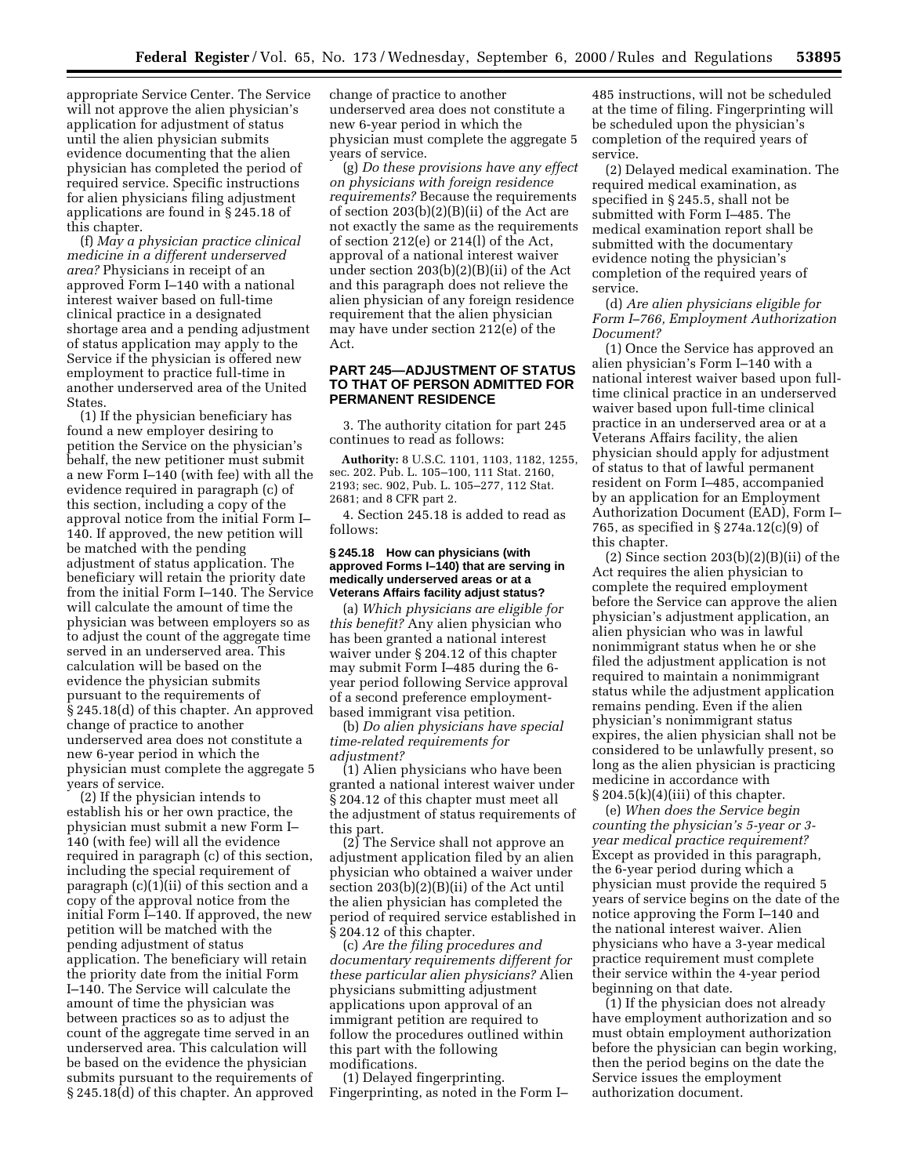appropriate Service Center. The Service will not approve the alien physician's application for adjustment of status until the alien physician submits evidence documenting that the alien physician has completed the period of required service. Specific instructions for alien physicians filing adjustment applications are found in § 245.18 of this chapter.

(f) *May a physician practice clinical medicine in a different underserved area?* Physicians in receipt of an approved Form I–140 with a national interest waiver based on full-time clinical practice in a designated shortage area and a pending adjustment of status application may apply to the Service if the physician is offered new employment to practice full-time in another underserved area of the United States.

(1) If the physician beneficiary has found a new employer desiring to petition the Service on the physician's behalf, the new petitioner must submit a new Form I–140 (with fee) with all the evidence required in paragraph (c) of this section, including a copy of the approval notice from the initial Form I– 140. If approved, the new petition will be matched with the pending adjustment of status application. The beneficiary will retain the priority date from the initial Form I–140. The Service will calculate the amount of time the physician was between employers so as to adjust the count of the aggregate time served in an underserved area. This calculation will be based on the evidence the physician submits pursuant to the requirements of § 245.18(d) of this chapter. An approved change of practice to another underserved area does not constitute a new 6-year period in which the physician must complete the aggregate 5 years of service.

(2) If the physician intends to establish his or her own practice, the physician must submit a new Form I– 140 (with fee) will all the evidence required in paragraph (c) of this section, including the special requirement of paragraph (c)(1)(ii) of this section and a copy of the approval notice from the initial Form I–140. If approved, the new petition will be matched with the pending adjustment of status application. The beneficiary will retain the priority date from the initial Form I–140. The Service will calculate the amount of time the physician was between practices so as to adjust the count of the aggregate time served in an underserved area. This calculation will be based on the evidence the physician submits pursuant to the requirements of § 245.18(d) of this chapter. An approved change of practice to another underserved area does not constitute a new 6-year period in which the physician must complete the aggregate 5 years of service.

(g) *Do these provisions have any effect on physicians with foreign residence requirements?* Because the requirements of section 203(b)(2)(B)(ii) of the Act are not exactly the same as the requirements of section 212(e) or 214(l) of the Act, approval of a national interest waiver under section 203(b)(2)(B)(ii) of the Act and this paragraph does not relieve the alien physician of any foreign residence requirement that the alien physician may have under section 212(e) of the Act.

#### **PART 245—ADJUSTMENT OF STATUS TO THAT OF PERSON ADMITTED FOR PERMANENT RESIDENCE**

3. The authority citation for part 245 continues to read as follows:

**Authority:** 8 U.S.C. 1101, 1103, 1182, 1255, sec. 202. Pub. L. 105–100, 111 Stat. 2160, 2193; sec. 902, Pub. L. 105–277, 112 Stat. 2681; and 8 CFR part 2.

4. Section 245.18 is added to read as follows:

#### **§ 245.18 How can physicians (with approved Forms I–140) that are serving in medically underserved areas or at a Veterans Affairs facility adjust status?**

(a) *Which physicians are eligible for this benefit?* Any alien physician who has been granted a national interest waiver under § 204.12 of this chapter may submit Form I–485 during the 6 year period following Service approval of a second preference employmentbased immigrant visa petition.

(b) *Do alien physicians have special time-related requirements for adjustment?*

(1) Alien physicians who have been granted a national interest waiver under § 204.12 of this chapter must meet all the adjustment of status requirements of this part.

(2) The Service shall not approve an adjustment application filed by an alien physician who obtained a waiver under section 203(b)(2)(B)(ii) of the Act until the alien physician has completed the period of required service established in § 204.12 of this chapter.

(c) *Are the filing procedures and documentary requirements different for these particular alien physicians?* Alien physicians submitting adjustment applications upon approval of an immigrant petition are required to follow the procedures outlined within this part with the following modifications.

(1) Delayed fingerprinting. Fingerprinting, as noted in the Form I–

485 instructions, will not be scheduled at the time of filing. Fingerprinting will be scheduled upon the physician's completion of the required years of service.

(2) Delayed medical examination. The required medical examination, as specified in § 245.5, shall not be submitted with Form I–485. The medical examination report shall be submitted with the documentary evidence noting the physician's completion of the required years of service.

(d) *Are alien physicians eligible for Form I–766, Employment Authorization Document?*

(1) Once the Service has approved an alien physician's Form I–140 with a national interest waiver based upon fulltime clinical practice in an underserved waiver based upon full-time clinical practice in an underserved area or at a Veterans Affairs facility, the alien physician should apply for adjustment of status to that of lawful permanent resident on Form I–485, accompanied by an application for an Employment Authorization Document (EAD), Form I– 765, as specified in § 274a.12(c)(9) of this chapter.

(2) Since section  $203(b)(2)(B)(ii)$  of the Act requires the alien physician to complete the required employment before the Service can approve the alien physician's adjustment application, an alien physician who was in lawful nonimmigrant status when he or she filed the adjustment application is not required to maintain a nonimmigrant status while the adjustment application remains pending. Even if the alien physician's nonimmigrant status expires, the alien physician shall not be considered to be unlawfully present, so long as the alien physician is practicing medicine in accordance with  $\S 204.5(k)(4)(iii)$  of this chapter.

(e) *When does the Service begin counting the physician's 5-year or 3 year medical practice requirement?* Except as provided in this paragraph, the 6-year period during which a physician must provide the required 5 years of service begins on the date of the notice approving the Form I–140 and the national interest waiver. Alien physicians who have a 3-year medical practice requirement must complete their service within the 4-year period beginning on that date.

(1) If the physician does not already have employment authorization and so must obtain employment authorization before the physician can begin working, then the period begins on the date the Service issues the employment authorization document.